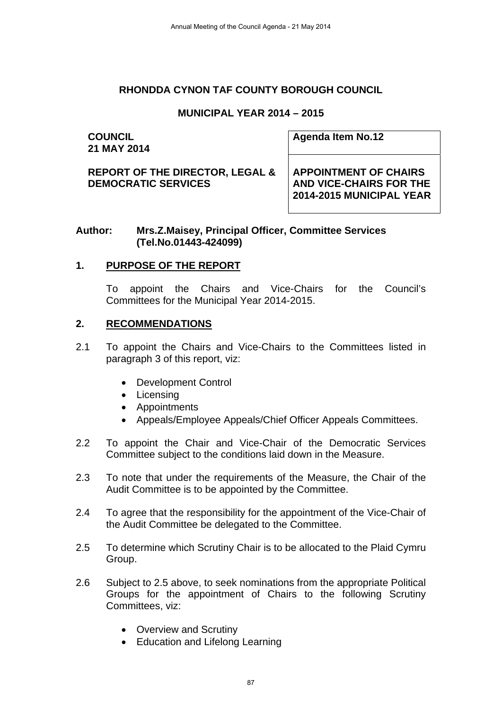#### **RHONDDA CYNON TAF COUNTY BOROUGH COUNCIL**

## **MUNICIPAL YEAR 2014 – 2015**

#### **COUNCIL 21 MAY 2014**

**Agenda Item No.12** 

**REPORT OF THE DIRECTOR, LEGAL & DEMOCRATIC SERVICES** 

**APPOINTMENT OF CHAIRS AND VICE-CHAIRS FOR THE 2014-2015 MUNICIPAL YEAR** 

#### **Author: Mrs.Z.Maisey, Principal Officer, Committee Services (Tel.No.01443-424099)**

## **1. PURPOSE OF THE REPORT**

 To appoint the Chairs and Vice-Chairs for the Council's Committees for the Municipal Year 2014-2015.

#### **2. RECOMMENDATIONS**

- 2.1 To appoint the Chairs and Vice-Chairs to the Committees listed in paragraph 3 of this report, viz:
	- Development Control
	- Licensing
	- Appointments
	- Appeals/Employee Appeals/Chief Officer Appeals Committees.
- 2.2 To appoint the Chair and Vice-Chair of the Democratic Services Committee subject to the conditions laid down in the Measure.
- 2.3 To note that under the requirements of the Measure, the Chair of the Audit Committee is to be appointed by the Committee.
- 2.4 To agree that the responsibility for the appointment of the Vice-Chair of the Audit Committee be delegated to the Committee.
- 2.5 To determine which Scrutiny Chair is to be allocated to the Plaid Cymru Group.
- 2.6 Subject to 2.5 above, to seek nominations from the appropriate Political Groups for the appointment of Chairs to the following Scrutiny Committees, viz:
	- Overview and Scrutiny
	- Education and Lifelong Learning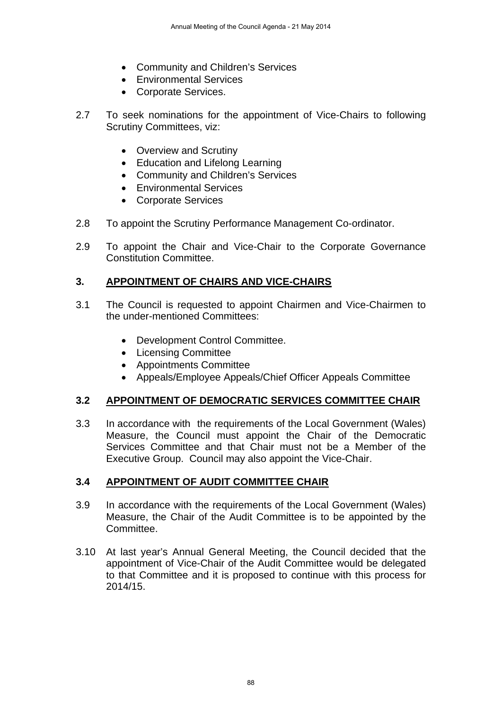- Community and Children's Services
- Environmental Services
- Corporate Services.
- 2.7 To seek nominations for the appointment of Vice-Chairs to following Scrutiny Committees, viz:
	- Overview and Scrutiny
	- Education and Lifelong Learning
	- Community and Children's Services
	- Environmental Services
	- Corporate Services
- 2.8 To appoint the Scrutiny Performance Management Co-ordinator.
- 2.9 To appoint the Chair and Vice-Chair to the Corporate Governance Constitution Committee.

## **3. APPOINTMENT OF CHAIRS AND VICE-CHAIRS**

- 3.1 The Council is requested to appoint Chairmen and Vice-Chairmen to the under-mentioned Committees:
	- Development Control Committee.
	- Licensing Committee
	- Appointments Committee
	- Appeals/Employee Appeals/Chief Officer Appeals Committee

#### **3.2 APPOINTMENT OF DEMOCRATIC SERVICES COMMITTEE CHAIR**

3.3 In accordance with the requirements of the Local Government (Wales) Measure, the Council must appoint the Chair of the Democratic Services Committee and that Chair must not be a Member of the Executive Group. Council may also appoint the Vice-Chair.

## **3.4 APPOINTMENT OF AUDIT COMMITTEE CHAIR**

- 3.9 In accordance with the requirements of the Local Government (Wales) Measure, the Chair of the Audit Committee is to be appointed by the Committee.
- 3.10 At last year's Annual General Meeting, the Council decided that the appointment of Vice-Chair of the Audit Committee would be delegated to that Committee and it is proposed to continue with this process for 2014/15.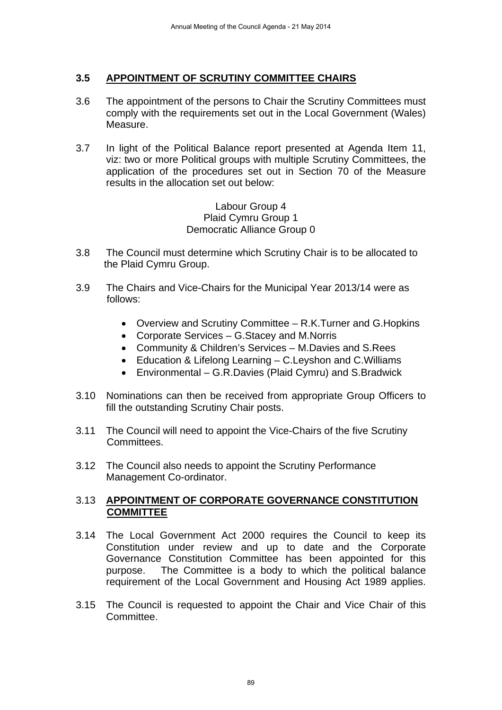## **3.5 APPOINTMENT OF SCRUTINY COMMITTEE CHAIRS**

- 3.6 The appointment of the persons to Chair the Scrutiny Committees must comply with the requirements set out in the Local Government (Wales) Measure.
- 3.7 In light of the Political Balance report presented at Agenda Item 11, viz: two or more Political groups with multiple Scrutiny Committees, the application of the procedures set out in Section 70 of the Measure results in the allocation set out below:

Labour Group 4 Plaid Cymru Group 1 Democratic Alliance Group 0

- 3.8 The Council must determine which Scrutiny Chair is to be allocated to the Plaid Cymru Group.
- 3.9 The Chairs and Vice-Chairs for the Municipal Year 2013/14 were as follows:
	- Overview and Scrutiny Committee R.K.Turner and G.Hopkins
	- Corporate Services G.Stacey and M.Norris
	- Community & Children's Services M.Davies and S.Rees
	- Education & Lifelong Learning C.Leyshon and C.Williams
	- Environmental G.R.Davies (Plaid Cymru) and S.Bradwick
- 3.10 Nominations can then be received from appropriate Group Officers to fill the outstanding Scrutiny Chair posts.
- 3.11 The Council will need to appoint the Vice-Chairs of the five Scrutiny Committees.
- 3.12 The Council also needs to appoint the Scrutiny Performance Management Co-ordinator.

#### 3.13 **APPOINTMENT OF CORPORATE GOVERNANCE CONSTITUTION COMMITTEE**

- 3.14 The Local Government Act 2000 requires the Council to keep its Constitution under review and up to date and the Corporate Governance Constitution Committee has been appointed for this purpose. The Committee is a body to which the political balance requirement of the Local Government and Housing Act 1989 applies.
- 3.15 The Council is requested to appoint the Chair and Vice Chair of this Committee.